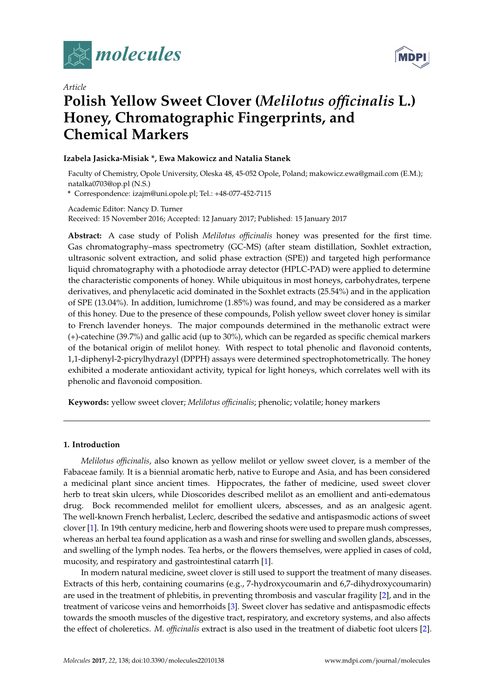



# *Article* **Polish Yellow Sweet Clover (***Melilotus officinalis* **L.) Honey, Chromatographic Fingerprints, and Chemical Markers**

# **Izabela Jasicka-Misiak \*, Ewa Makowicz and Natalia Stanek**

Faculty of Chemistry, Opole University, Oleska 48, 45-052 Opole, Poland; makowicz.ewa@gmail.com (E.M.); natalka0703@op.pl (N.S.)

**\*** Correspondence: izajm@uni.opole.pl; Tel.: +48-077-452-7115

Academic Editor: Nancy D. Turner

Received: 15 November 2016; Accepted: 12 January 2017; Published: 15 January 2017

**Abstract:** A case study of Polish *Melilotus officinalis* honey was presented for the first time. Gas chromatography–mass spectrometry (GC-MS) (after steam distillation, Soxhlet extraction, ultrasonic solvent extraction, and solid phase extraction (SPE)) and targeted high performance liquid chromatography with a photodiode array detector (HPLC-PAD) were applied to determine the characteristic components of honey. While ubiquitous in most honeys, carbohydrates, terpene derivatives, and phenylacetic acid dominated in the Soxhlet extracts (25.54%) and in the application of SPE (13.04%). In addition, lumichrome (1.85%) was found, and may be considered as a marker of this honey. Due to the presence of these compounds, Polish yellow sweet clover honey is similar to French lavender honeys. The major compounds determined in the methanolic extract were (+)-catechine (39.7%) and gallic acid (up to 30%), which can be regarded as specific chemical markers of the botanical origin of melilot honey. With respect to total phenolic and flavonoid contents, 1,1-diphenyl-2-picrylhydrazyl (DPPH) assays were determined spectrophotometrically. The honey exhibited a moderate antioxidant activity, typical for light honeys, which correlates well with its phenolic and flavonoid composition.

**Keywords:** yellow sweet clover; *Melilotus officinalis*; phenolic; volatile; honey markers

# **1. Introduction**

*Melilotus officinalis*, also known as yellow melilot or yellow sweet clover, is a member of the Fabaceae family. It is a biennial aromatic herb, native to Europe and Asia, and has been considered a medicinal plant since ancient times. Hippocrates, the father of medicine, used sweet clover herb to treat skin ulcers, while Dioscorides described melilot as an emollient and anti-edematous drug. Bock recommended melilot for emollient ulcers, abscesses, and as an analgesic agent. The well-known French herbalist, Leclerc, described the sedative and antispasmodic actions of sweet clover [\[1\]](#page-11-0). In 19th century medicine, herb and flowering shoots were used to prepare mush compresses, whereas an herbal tea found application as a wash and rinse for swelling and swollen glands, abscesses, and swelling of the lymph nodes. Tea herbs, or the flowers themselves, were applied in cases of cold, mucosity, and respiratory and gastrointestinal catarrh [\[1\]](#page-11-0).

In modern natural medicine, sweet clover is still used to support the treatment of many diseases. Extracts of this herb, containing coumarins (e.g., 7-hydroxycoumarin and 6,7-dihydroxycoumarin) are used in the treatment of phlebitis, in preventing thrombosis and vascular fragility [\[2\]](#page-11-1), and in the treatment of varicose veins and hemorrhoids [\[3\]](#page-11-2). Sweet clover has sedative and antispasmodic effects towards the smooth muscles of the digestive tract, respiratory, and excretory systems, and also affects the effect of choleretics. *M. officinalis* extract is also used in the treatment of diabetic foot ulcers [\[2\]](#page-11-1).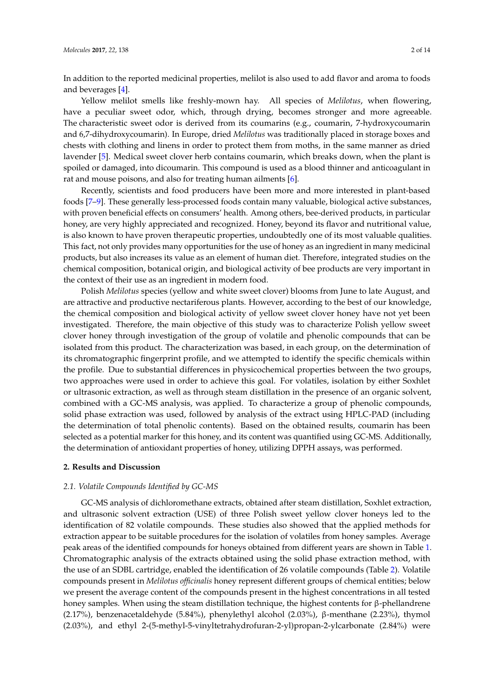In addition to the reported medicinal properties, melilot is also used to add flavor and aroma to foods and beverages [\[4\]](#page-11-3).

Yellow melilot smells like freshly-mown hay. All species of *Melilotus*, when flowering, have a peculiar sweet odor, which, through drying, becomes stronger and more agreeable. The characteristic sweet odor is derived from its coumarins (e.g., coumarin, 7-hydroxycoumarin and 6,7-dihydroxycoumarin). In Europe, dried *Melilotus* was traditionally placed in storage boxes and chests with clothing and linens in order to protect them from moths, in the same manner as dried lavender [\[5\]](#page-11-4). Medical sweet clover herb contains coumarin, which breaks down, when the plant is spoiled or damaged, into dicoumarin. This compound is used as a blood thinner and anticoagulant in rat and mouse poisons, and also for treating human ailments [\[6\]](#page-11-5).

Recently, scientists and food producers have been more and more interested in plant-based foods [\[7](#page-11-6)[–9\]](#page-11-7). These generally less-processed foods contain many valuable, biological active substances, with proven beneficial effects on consumers' health. Among others, bee-derived products, in particular honey, are very highly appreciated and recognized. Honey, beyond its flavor and nutritional value, is also known to have proven therapeutic properties, undoubtedly one of its most valuable qualities. This fact, not only provides many opportunities for the use of honey as an ingredient in many medicinal products, but also increases its value as an element of human diet. Therefore, integrated studies on the chemical composition, botanical origin, and biological activity of bee products are very important in the context of their use as an ingredient in modern food.

Polish *Melilotus* species (yellow and white sweet clover) blooms from June to late August, and are attractive and productive nectariferous plants. However, according to the best of our knowledge, the chemical composition and biological activity of yellow sweet clover honey have not yet been investigated. Therefore, the main objective of this study was to characterize Polish yellow sweet clover honey through investigation of the group of volatile and phenolic compounds that can be isolated from this product. The characterization was based, in each group, on the determination of its chromatographic fingerprint profile, and we attempted to identify the specific chemicals within the profile. Due to substantial differences in physicochemical properties between the two groups, two approaches were used in order to achieve this goal. For volatiles, isolation by either Soxhlet or ultrasonic extraction, as well as through steam distillation in the presence of an organic solvent, combined with a GC-MS analysis, was applied. To characterize a group of phenolic compounds, solid phase extraction was used, followed by analysis of the extract using HPLC-PAD (including the determination of total phenolic contents). Based on the obtained results, coumarin has been selected as a potential marker for this honey, and its content was quantified using GC-MS. Additionally, the determination of antioxidant properties of honey, utilizing DPPH assays, was performed.

## **2. Results and Discussion**

#### *2.1. Volatile Compounds Identified by GC-MS*

GC-MS analysis of dichloromethane extracts, obtained after steam distillation, Soxhlet extraction, and ultrasonic solvent extraction (USE) of three Polish sweet yellow clover honeys led to the identification of 82 volatile compounds. These studies also showed that the applied methods for extraction appear to be suitable procedures for the isolation of volatiles from honey samples. Average peak areas of the identified compounds for honeys obtained from different years are shown in Table [1.](#page-4-0) Chromatographic analysis of the extracts obtained using the solid phase extraction method, with the use of an SDBL cartridge, enabled the identification of 26 volatile compounds (Table [2\)](#page-5-0). Volatile compounds present in *Melilotus officinalis* honey represent different groups of chemical entities; below we present the average content of the compounds present in the highest concentrations in all tested honey samples. When using the steam distillation technique, the highest contents for β-phellandrene (2.17%), benzenacetaldehyde (5.84%), phenylethyl alcohol (2.03%), β-menthane (2.23%), thymol (2.03%), and ethyl 2-(5-methyl-5-vinyltetrahydrofuran-2-yl)propan-2-ylcarbonate (2.84%) were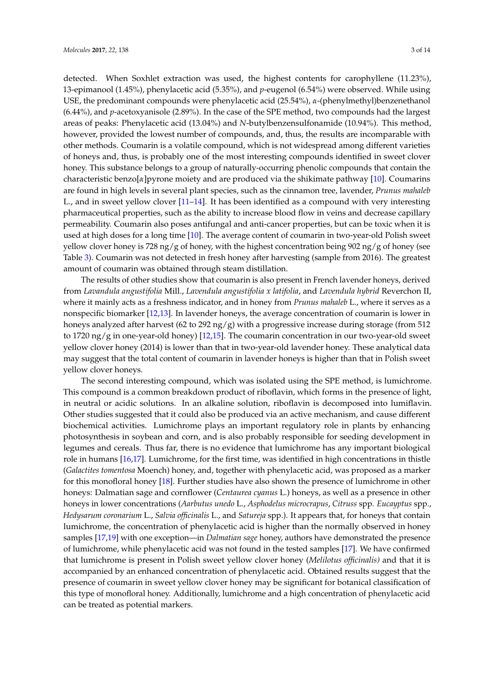detected. When Soxhlet extraction was used, the highest contents for carophyllene (11.23%), 13-epimanool (1.45%), phenylacetic acid (5.35%), and *p*-eugenol (6.54%) were observed. While using USE, the predominant compounds were phenylacetic acid (25.54%), *α*-(phenylmethyl)benzenethanol (6.44%), and *p*-acetoxyanisole (2.89%). In the case of the SPE method, two compounds had the largest areas of peaks: Phenylacetic acid (13.04%) and *N*-butylbenzensulfonamide (10.94%). This method, however, provided the lowest number of compounds, and, thus, the results are incomparable with other methods. Coumarin is a volatile compound, which is not widespread among different varieties of honeys and, thus, is probably one of the most interesting compounds identified in sweet clover honey. This substance belongs to a group of naturally-occurring phenolic compounds that contain the characteristic benzo[*α*]pyrone moiety and are produced via the shikimate pathway [\[10\]](#page-12-0). Coumarins are found in high levels in several plant species, such as the cinnamon tree, lavender, *Prunus mahaleb* L., and in sweet yellow clover [\[11–](#page-12-1)[14\]](#page-12-2). It has been identified as a compound with very interesting pharmaceutical properties, such as the ability to increase blood flow in veins and decrease capillary permeability. Coumarin also poses antifungal and anti-cancer properties, but can be toxic when it is used at high doses for a long time [\[10\]](#page-12-0). The average content of coumarin in two-year-old Polish sweet yellow clover honey is 728 ng/g of honey, with the highest concentration being 902 ng/g of honey (see Table [3\)](#page-5-1). Coumarin was not detected in fresh honey after harvesting (sample from 2016). The greatest amount of coumarin was obtained through steam distillation.

The results of other studies show that coumarin is also present in French lavender honeys, derived from *Lavandula angustifolia* Mill., *Lavendula angustifolia x latifolia*, and *Lavendula hybrid* Reverchon II, where it mainly acts as a freshness indicator, and in honey from *Prunus mahaleb* L., where it serves as a nonspecific biomarker [\[12,](#page-12-3)[13\]](#page-12-4). In lavender honeys, the average concentration of coumarin is lower in honeys analyzed after harvest (62 to 292 ng/g) with a progressive increase during storage (from 512 to 1720 ng/g in one-year-old honey) [\[12,](#page-12-3)[15\]](#page-12-5). The coumarin concentration in our two-year-old sweet yellow clover honey (2014) is lower than that in two-year-old lavender honey. These analytical data may suggest that the total content of coumarin in lavender honeys is higher than that in Polish sweet yellow clover honeys.

The second interesting compound, which was isolated using the SPE method, is lumichrome. This compound is a common breakdown product of riboflavin, which forms in the presence of light, in neutral or acidic solutions. In an alkaline solution, riboflavin is decomposed into lumiflavin. Other studies suggested that it could also be produced via an active mechanism, and cause different biochemical activities. Lumichrome plays an important regulatory role in plants by enhancing photosynthesis in soybean and corn, and is also probably responsible for seeding development in legumes and cereals. Thus far, there is no evidence that lumichrome has any important biological role in humans [\[16](#page-12-6)[,17\]](#page-12-7). Lumichrome, for the first time, was identified in high concentrations in thistle (*Galactites tomentosa* Moench) honey, and, together with phenylacetic acid, was proposed as a marker for this monofloral honey [\[18\]](#page-12-8). Further studies have also shown the presence of lumichrome in other honeys: Dalmatian sage and cornflower (*Centaurea cyanus* L.) honeys, as well as a presence in other honeys in lower concentrations (*Aarbutus unedo* L., *Asphodelus microcrapus*, *Citruss* spp*. Eucayptus* spp., *Hedysarum coronarium* L., *Salvia officinalis* L., and *Satureja* spp.). It appears that, for honeys that contain lumichrome, the concentration of phenylacetic acid is higher than the normally observed in honey samples [\[17](#page-12-7)[,19\]](#page-12-9) with one exception—in *Dalmatian sage* honey, authors have demonstrated the presence of lumichrome, while phenylacetic acid was not found in the tested samples [\[17\]](#page-12-7). We have confirmed that lumichrome is present in Polish sweet yellow clover honey (*Melilotus officinalis)* and that it is accompanied by an enhanced concentration of phenylacetic acid. Obtained results suggest that the presence of coumarin in sweet yellow clover honey may be significant for botanical classification of this type of monofloral honey. Additionally, lumichrome and a high concentration of phenylacetic acid can be treated as potential markers.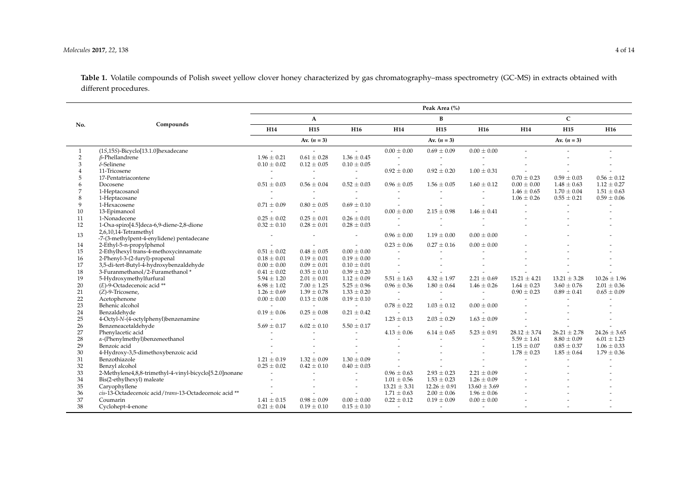#### *Molecules* **2017**, *22*, 138 4 of 14

**Table 1.** Volatile compounds of Polish sweet yellow clover honey characterized by gas chromatography–mass spectrometry (GC-MS) in extracts obtained with different procedures.

|                |                                                         |                          |                          |                          |                          | Peak Area (%)            |                       |                  |                  |                  |
|----------------|---------------------------------------------------------|--------------------------|--------------------------|--------------------------|--------------------------|--------------------------|-----------------------|------------------|------------------|------------------|
|                |                                                         |                          | $\mathbf{A}$             |                          |                          | $\bf{B}$                 |                       |                  | $\mathbf C$      |                  |
| No.            | Compounds                                               | H14                      | H <sub>15</sub>          | H <sub>16</sub>          | H14                      | H <sub>15</sub>          | H <sub>16</sub>       | H14              | <b>H16</b>       |                  |
|                |                                                         |                          | Av. $(n = 3)$            |                          |                          | Av. $(n = 3)$            |                       |                  | Av. $(n = 3)$    |                  |
| 1              | (15,155)-Bicyclo[13.1.0]hexadecane                      | $\overline{\phantom{a}}$ | $\sim$                   | $\sim$                   | $0.00 \pm 0.00$          | $0.69 \pm 0.09$          | $0.00 \pm 0.00$       |                  | $\overline{a}$   |                  |
| $\overline{2}$ | $\beta$ -Phellandrene                                   | $1.96 \pm 0.21$          | $0.61 \pm 0.28$          | $1.36 \pm 0.45$          |                          | $\overline{\phantom{a}}$ |                       |                  |                  |                  |
| 3              | $\delta$ -Selinene                                      | $0.10 \pm 0.02$          | $0.12 \pm 0.05$          | $0.10 \pm 0.05$          |                          |                          |                       |                  |                  |                  |
| $\overline{4}$ | 11-Tricosene                                            |                          | $\overline{\phantom{a}}$ | $\overline{\phantom{a}}$ | $0.92 \pm 0.00$          | $0.92 \pm 0.20$          | $1.00 \pm 0.31$       |                  |                  |                  |
| 5              | 17-Pentatriacontene                                     |                          |                          |                          |                          |                          |                       | $0.70 \pm 0.23$  | $0.59 \pm 0.03$  | $0.56 \pm 0.12$  |
| 6              | Docosene                                                | $0.51 \pm 0.03$          | $0.56 \pm 0.04$          | $0.52 \pm 0.03$          | $0.96 \pm 0.05$          | $1.56 \pm 0.05$          | $1.60 \pm 0.12$       | $0.00 \pm 0.00$  | $1.48 \pm 0.63$  | $1.12 \pm 0.27$  |
| 7              | 1-Heptacosanol                                          |                          | $\overline{\phantom{a}}$ | $\overline{a}$           |                          |                          |                       | $1.46 \pm 0.65$  | $1.70 \pm 0.04$  | $1.51 \pm 0.63$  |
| 8              | 1-Heptacosane                                           |                          | $\overline{a}$           | $\overline{a}$           |                          |                          |                       | $1.06 \pm 0.26$  | $0.55 \pm 0.21$  | $0.59 \pm 0.06$  |
| 9              | 1-Hexacosene                                            | $0.71 \pm 0.09$          | $0.80 \pm 0.05$          | $0.69 \pm 0.10$          |                          |                          |                       |                  |                  |                  |
| 10             | 13-Epimanool                                            |                          | $\overline{\phantom{a}}$ | $\overline{a}$           | $0.00 \pm 0.00$          | $2.15 \pm 0.98$          | $1.46 \pm 0.41$       |                  |                  |                  |
| 11             | 1-Nonadecene                                            | $0.25 \pm 0.02$          | $0.25 \pm 0.01$          | $0.26 \pm 0.01$          |                          |                          |                       |                  |                  |                  |
| 12             | 1-Oxa-spiro[4.5]deca-6,9-diene-2,8-dione                | $0.32 \pm 0.10$          | $0.28 \pm 0.01$          | $0.28 \pm 0.03$          |                          |                          |                       |                  |                  |                  |
| 13             | 2,6,10,14-Tetramethyl                                   |                          | $\overline{\phantom{a}}$ |                          | $0.96 \pm 0.00$          | $1.19 \pm 0.00$          | $0.00 \pm 0.00$       |                  |                  |                  |
|                | -7-(3-methylpent-4-enylidene) pentadecane               |                          |                          | $\overline{\phantom{a}}$ |                          |                          |                       |                  |                  |                  |
| 14             | 2-Ethyl-5-n-propylphenol                                |                          | $\overline{\phantom{a}}$ | $\overline{\phantom{a}}$ | $0.23 \pm 0.06$          | $0.27 \pm 0.16$          | $0.00 \pm 0.00$       |                  |                  |                  |
| 15             | 2-Ethylhexyl trans-4-methoxycinnamate                   | $0.51 \pm 0.02$          | $0.48 \pm 0.05$          | $0.00 \pm 0.00$          |                          |                          |                       |                  |                  |                  |
| 16             | 2-Phenyl-3-(2-furyl)-propenal                           | $0.18 \pm 0.01$          | $0.19 \pm 0.01$          | $0.19 \pm 0.00$          |                          |                          |                       |                  |                  |                  |
| 17             | 3,5-di-tert-Butyl-4-hydroxybenzaldehyde                 | $0.00 \pm 0.00$          | $0.09 \pm 0.01$          | $0.10 \pm 0.01$          |                          |                          |                       |                  |                  |                  |
| 18             | 3-Furanmethanol/2-Furamethanol*                         | $0.41 \pm 0.02$          | $0.35 \pm 0.10$          | $0.39 \pm 0.20$          |                          |                          |                       |                  |                  |                  |
| 19             | 5-Hydroxymethylfurfural                                 | $5.94 \pm 1.20$          | $2.01 \pm 0.01$          | $1.12 \pm 0.09$          | $5.51 \pm 1.63$          | $4.32 \pm 1.97$          | $2.21 \pm 0.69$       | $15.21 \pm 4.21$ | $13.21 \pm 3.28$ | $10.26 \pm 1.96$ |
| 20             | (E)-9-Octadecenoic acid **                              | $6.98 \pm 1.02$          | $7.00 \pm 1.25$          | $5.25 \pm 0.96$          | $0.96 \pm 0.36$          | $1.80 \pm 0.64$          | $1.46 \pm 0.26$       | $1.64 \pm 0.23$  | $3.60 \pm 0.76$  | $2.01 \pm 0.36$  |
| 21             | (Z)-9-Tricosene,                                        | $1.26 \pm 0.69$          | $1.39 \pm 0.78$          | $1.33 \pm 0.20$          | $\overline{\phantom{a}}$ | $\overline{\phantom{a}}$ | $\sim$                | $0.90 \pm 0.23$  | $0.89 \pm 0.41$  | $0.65 \pm 0.09$  |
| 22             | Acetophenone                                            | $0.00 \pm 0.00$          | $0.13 \pm 0.08$          | $0.19 \pm 0.10$          |                          |                          |                       |                  |                  |                  |
| 23             | Behenic alcohol                                         |                          | $\sim$                   | $\overline{\phantom{a}}$ | $0.78 \pm 0.22$          | $1.03 \pm 0.12$          | $0.00 \pm 0.00$       |                  |                  |                  |
| 24             | Benzaldehyde                                            | $0.19 \pm 0.06$          | $0.25 \pm 0.08$          | $0.21 \pm 0.42$          |                          | $\overline{\phantom{a}}$ |                       |                  |                  |                  |
| 25             | 4-Octyl-N-(4-octylphenyl)benzenamine                    |                          |                          | $\sim$                   | $1.23 \pm 0.13$          | $2.03 \pm 0.29$          | $1.63 \pm 0.09$       |                  |                  |                  |
| 26             | Benzeneacetaldehyde                                     | $5.69 \pm 0.17$          | $6.02 \pm 0.10$          | $5.50 \pm 0.17$          |                          | $\sim$                   |                       |                  |                  |                  |
| 27             | Phenylacetic acid                                       |                          |                          |                          | $4.13 \pm 0.06$          | $6.14\pm0.65$            | $5.23 \pm 0.91$       | $28.12 \pm 3.74$ | $26.21 \pm 2.78$ | $24.26 \pm 3.65$ |
| 28             | $\alpha$ -(Phenylmethyl)benzeneethanol                  |                          |                          |                          |                          |                          | $\overline{a}$        | $5.59 \pm 1.61$  | $8.80 \pm 0.09$  | $6.01 \pm 1.23$  |
| 29             | Benzoic acid                                            |                          | $\overline{\phantom{a}}$ |                          |                          |                          | $\tilde{\phantom{a}}$ | $1.15 \pm 0.07$  | $0.85 \pm 0.37$  | $1.06 \pm 0.33$  |
| 30             | 4-Hydroxy-3,5-dimethoxybenzoic acid                     |                          |                          |                          |                          |                          |                       | $1.78 \pm 0.23$  | $1.85 \pm 0.64$  | $1.79 \pm 0.36$  |
| 31             | Benzothiazole                                           | $1.21 \pm 0.19$          | $1.32 \pm 0.09$          | $1.30 \pm 0.09$          |                          |                          |                       | $\sim$           | $\overline{a}$   |                  |
| 32             | Benzyl alcohol                                          | $0.25 \pm 0.02$          | $0.42 \pm 0.10$          | $0.40 \pm 0.03$          |                          |                          |                       |                  |                  |                  |
| 33             | 2-Methylene4,8,8-trimethyl-4-vinyl-bicyclo[5.2.0]nonane |                          |                          | $\overline{a}$           | $0.96 \pm 0.63$          | $2.93 \pm 0.23$          | $2.21 \pm 0.09$       |                  |                  |                  |
| 34             | Bis(2-ethylhexyl) maleate                               |                          | $\overline{a}$           | $\tilde{\phantom{a}}$    | $1.01 \pm 0.56$          | $1.53 \pm 0.23$          | $1.26 \pm 0.09$       |                  |                  |                  |
| 35             | Caryophyllene                                           |                          |                          | $\overline{\phantom{a}}$ | $13.21 \pm 3.31$         | $12.26 \pm 0.91$         | $13.60 \pm 3.69$      |                  |                  |                  |
| 36             | cis-13-Octadecenoic acid/trans-13-Octadecenoic acid **  |                          | $\overline{\phantom{a}}$ | $\overline{\phantom{a}}$ | $1.71 \pm 0.63$          | $2.00 \pm 0.06$          | $1.96 \pm 0.06$       |                  |                  |                  |
| 37             | Coumarin                                                | $1.41 \pm 0.15$          | $0.98 \pm 0.09$          | $0.00 \pm 0.00$          | $0.22 \pm 0.12$          | $0.19 \pm 0.09$          | $0.00 \pm 0.00$       |                  |                  |                  |
| 38             | Cyclohept-4-enone                                       | $0.21 \pm 0.04$          | $0.19 \pm 0.10$          | $0.15 \pm 0.10$          | $\overline{a}$           | $\sim$                   | $\overline{a}$        |                  |                  |                  |
|                |                                                         |                          |                          |                          |                          |                          |                       |                  |                  |                  |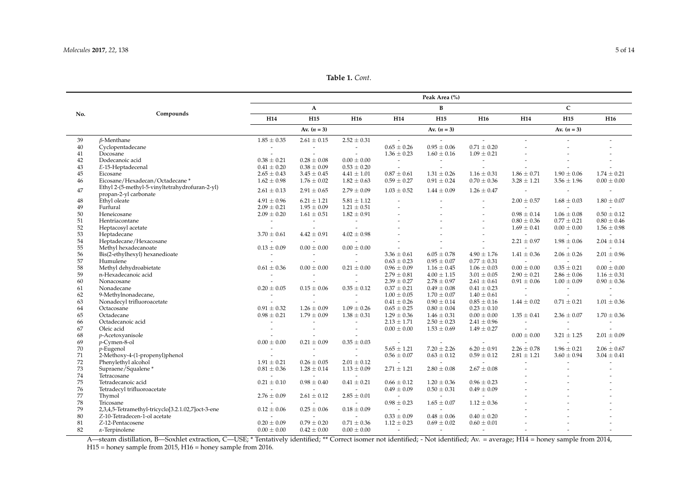**Table 1.** *Cont*.

|     |                                                                         |                          |                          |                          |                       | Peak Area (%)            |                       |                          |                          |                          |  |
|-----|-------------------------------------------------------------------------|--------------------------|--------------------------|--------------------------|-----------------------|--------------------------|-----------------------|--------------------------|--------------------------|--------------------------|--|
|     |                                                                         |                          | $\mathbf{A}$             |                          |                       | B                        |                       | $\mathsf{C}$             |                          |                          |  |
| No. | Compounds                                                               | H14                      | H <sub>15</sub>          | H <sub>16</sub>          | H14                   | H <sub>15</sub>          | H <sub>16</sub>       | H14                      | H <sub>15</sub>          | H <sub>16</sub>          |  |
|     |                                                                         |                          | Av. $(n = 3)$            |                          |                       | Av. $(n = 3)$            |                       |                          | Av. $(n = 3)$            |                          |  |
| 39  | $\beta$ -Menthane                                                       | $1.85 \pm 0.35$          | $2.61 \pm 0.15$          | $2.52 \pm 0.31$          | $\sim$                | $\sim$                   | $\overline{a}$        |                          |                          |                          |  |
| 40  | Cyclopentadecane                                                        | $\overline{\phantom{a}}$ | $\overline{\phantom{a}}$ |                          | $0.65 \pm 0.26$       | $0.95 \pm 0.06$          | $0.71 \pm 0.20$       |                          |                          |                          |  |
| 41  | Docosane                                                                | $\sim$                   | $\overline{a}$           | $\sim$                   | $1.36 \pm 0.23$       | $1.60 \pm 0.16$          | $1.09 \pm 0.21$       |                          |                          |                          |  |
| 42  | Dodecanoic acid                                                         | $0.38 \pm 0.21$          | $0.28 \pm 0.08$          | $0.00 \pm 0.00$          | $\tilde{\phantom{a}}$ | $\tilde{\phantom{a}}$    | $\tilde{\phantom{a}}$ |                          |                          |                          |  |
| 43  | E-15-Heptadecenal                                                       | $0.41 \pm 0.20$          | $0.38 \pm 0.09$          | $0.53 \pm 0.20$          | $\sim$                | $\sim$                   | $\sim$                |                          |                          |                          |  |
| 45  | Eicosane                                                                | $2.65 \pm 0.43$          | $3.45 \pm 0.45$          | $4.41 \pm 1.01$          | $0.87 \pm 0.61$       | $1.31 \pm 0.26$          | $1.16 \pm 0.31$       | $1.86 \pm 0.71$          | $1.90 \pm 0.06$          | $1.74 \pm 0.21$          |  |
| 46  | Eicosane/Hexadecan/Octadecane*                                          | $1.62 \pm 0.98$          | $1.76 \pm 0.02$          | $1.82 \pm 0.63$          | $0.59 \pm 0.27$       | $0.91 \pm 0.24$          | $0.70 \pm 0.36$       | $3.28 \pm 1.21$          | $3.56 \pm 1.96$          | $0.00 \pm 0.00$          |  |
| 47  | Ethyl 2-(5-methyl-5-vinyltetrahydrofuran-2-yl)<br>propan-2-yl carbonate | $2.61 \pm 0.13$          | $2.91 \pm 0.65$          | $2.79 \pm 0.09$          | $1.03 \pm 0.52$       | $1.44 \pm 0.09$          | $1.26 \pm 0.47$       | $\sim$                   | $\overline{\phantom{a}}$ | $\overline{\phantom{a}}$ |  |
| 48  | Ethyl oleate                                                            | $4.91 \pm 0.96$          | $6.21 \pm 1.21$          | $5.81 \pm 1.12$          |                       |                          |                       | $2.00 \pm 0.57$          | $1.68 \pm 0.03$          | $1.80 \pm 0.07$          |  |
| 49  | Furfural                                                                | $2.09 \pm 0.21$          | $1.95 \pm 0.09$          | $1.21 \pm 0.51$          |                       |                          | $\overline{a}$        | $\sim$                   |                          |                          |  |
| 50  | Heneicosane                                                             | $2.09 \pm 0.20$          | $1.61 \pm 0.51$          | $1.82 \pm 0.91$          |                       |                          |                       | $0.98 \pm 0.14$          | $1.06 \pm 0.08$          | $0.50 \pm 0.12$          |  |
| 51  | Hentriacontane                                                          | $\sim$                   | $ \,$                    | $\sim$                   |                       |                          |                       | $0.80 \pm 0.36$          | $0.77 \pm 0.21$          | $0.80 \pm 0.46$          |  |
| 52  | Heptacosyl acetate                                                      | $\tilde{\phantom{a}}$    | $\overline{a}$           |                          |                       |                          | $\overline{a}$        | $1.69 \pm 0.41$          | $0.00 \pm 0.00$          | $1.56 \pm 0.98$          |  |
| 53  | Heptadecane                                                             | $3.70 \pm 0.61$          | $4.42 \pm 0.91$          | $4.02 \pm 0.98$          |                       |                          | $\overline{a}$        | $\overline{\phantom{a}}$ | $\overline{\phantom{a}}$ | $\overline{a}$           |  |
| 54  | Heptadecane/Hexacosane                                                  | $\overline{\phantom{a}}$ | $\overline{a}$           | $\sim$                   |                       |                          | $\overline{a}$        | $2.21 \pm 0.97$          |                          | $2.04 \pm 0.14$          |  |
| 55  | Methyl hexadecanoate                                                    |                          | $0.00 \pm 0.00$          |                          |                       |                          |                       | $\overline{\phantom{a}}$ | $1.98 \pm 0.06$          |                          |  |
|     |                                                                         | $0.13\pm0.09$            |                          | $0.00 \pm 0.00$          |                       |                          |                       |                          |                          |                          |  |
| 56  | Bis(2-ethylhexyl) hexanedioate                                          | $\overline{\phantom{a}}$ |                          | $\overline{\phantom{a}}$ | $3.36 \pm 0.61$       | $6.05\pm0.78$            | $4.90 \pm 1.76$       | $1.41 \pm 0.36$          | $2.06 \pm 0.26$          | $2.01 \pm 0.96$          |  |
| 57  | Humulene                                                                | $\sim$                   |                          |                          | $0.63 \pm 0.23$       | $0.95 \pm 0.07$          | $0.77 \pm 0.31$       | $\mathcal{L}$            | $\sim$                   | $\tilde{\phantom{a}}$    |  |
| 58  | Methyl dehydroabietate                                                  | $0.61 \pm 0.36$          | $0.00 \pm 0.00$          | $0.21 \pm 0.00$          | $0.96 \pm 0.09$       | $1.16 \pm 0.45$          | $1.06 \pm 0.03$       | $0.00 \pm 0.00$          | $0.35 \pm 0.21$          | $0.00 \pm 0.00$          |  |
| 59  | n-Hexadecanoic acid                                                     | $\overline{\phantom{a}}$ | $\sim$                   | $\sim$                   | $2.79 \pm 0.81$       | $4.00 \pm 1.15$          | $3.01 \pm 0.05$       | $2.90 \pm 0.21$          | $2.86 \pm 0.06$          | $1.16 \pm 0.31$          |  |
| 60  | Nonacosane                                                              | $\sim$                   | $\sim$                   | $\sim$                   | $2.39 \pm 0.27$       | $2.78 \pm 0.97$          | $2.61 \pm 0.61$       | $0.91 \pm 0.06$          | $1.00 \pm 0.09$          | $0.90 \pm 0.36$          |  |
| 61  | Nonadecane                                                              | $0.20 \pm 0.05$          | $0.15 \pm 0.06$          | $0.35 \pm 0.12$          | $0.37 \pm 0.21$       | $0.49 \pm 0.08$          | $0.41 \pm 0.23$       | $\overline{\phantom{a}}$ |                          | $\overline{\phantom{a}}$ |  |
| 62  | 9-Methylnonadecane,                                                     | $\overline{\phantom{a}}$ |                          |                          | $1.00 \pm 0.05$       | $1.70 \pm 0.07$          | $1.40 \pm 0.61$       | $\overline{\phantom{a}}$ |                          | $\overline{\phantom{a}}$ |  |
| 63  | Nonadecyl trifluoroacetate                                              | $\overline{\phantom{a}}$ |                          |                          | $0.41 \pm 0.26$       | $0.90 \pm 0.14$          | $0.85 \pm 0.16$       | $1.44 \pm 0.02$          | $0.71 \pm 0.21$          | $1.01 \pm 0.36$          |  |
| 64  | Octacosane                                                              | $0.91 \pm 0.32$          | $1.26 \pm 0.09$          | $1.09 \pm 0.26$          | $0.65 \pm 0.25$       | $0.80 \pm 0.04$          | $0.23 \pm 0.10$       |                          |                          |                          |  |
| 65  | Octadecane                                                              | $0.98 \pm 0.21$          | $1.79 \pm 0.09$          | $1.38 \pm 0.31$          | $1.29 \pm 0.36$       | $1.46 \pm 0.31$          | $0.00 \pm 0.00$       | $1.35 \pm 0.41$          | $2.36 \pm 0.07$          | $1.70 \pm 0.36$          |  |
| 66  | Octadecanoic acid                                                       | $\sim$                   | $\overline{a}$           |                          | $2.13 \pm 1.71$       | $2.50 \pm 0.23$          | $2.41 \pm 0.96$       | $\sim$                   |                          |                          |  |
| 67  | Oleic acid                                                              | $\overline{\phantom{a}}$ | $\overline{\phantom{a}}$ | $\tilde{\phantom{a}}$    | $0.00 \pm 0.00$       | $1.53 \pm 0.69$          | $1.49 \pm 0.27$       | $\overline{\phantom{a}}$ |                          |                          |  |
| 68  | p-Acetoxyanisole                                                        | $\tilde{\phantom{a}}$    |                          |                          |                       |                          |                       | $0.00 \pm 0.00$          | $3.21 \pm 1.25$          | $2.01 \pm 0.09$          |  |
| 69  | p-Cymen-8-ol                                                            | $0.00 \pm 0.00$          | $0.21 \pm 0.09$          | $0.35 \pm 0.03$          | $\sim$                | $\overline{a}$           | $\sim$                | $\sim$                   |                          | $\overline{a}$           |  |
| 70  | $p$ -Eugenol                                                            | $\overline{\phantom{a}}$ | $\sim$                   | $\overline{\phantom{a}}$ | $5.65 \pm 1.21$       | $7.20 \pm 2.26$          | $6.20 \pm 0.91$       | $2.26 \pm 0.78$          | $1.96 \pm 0.21$          | $2.06 \pm 0.67$          |  |
| 71  | 2-Methoxy-4-(1-propenyl)phenol                                          | $\sim$                   |                          | $\overline{\phantom{a}}$ | $0.56 \pm 0.07$       | $0.63 \pm 0.12$          | $0.59 \pm 0.12$       | $2.81 \pm 1.21$          | $3.60 \pm 0.94$          | $3.04 \pm 0.41$          |  |
| 72  | Phenylethyl alcohol                                                     | $1.91 \pm 0.21$          | $0.26 \pm 0.05$          | $2.01 \pm 0.12$          | $\sim$                | $\overline{\phantom{a}}$ |                       |                          |                          |                          |  |
| 73  | Supraene/Squalene*                                                      | $0.81 \pm 0.36$          | $1.28 \pm 0.14$          | $1.13 \pm 0.09$          | $2.71 \pm 1.21$       | $2.80 \pm 0.08$          | $2.67 \pm 0.08$       |                          |                          |                          |  |
| 74  | Tetracosane                                                             | $\sim$                   | $\overline{a}$           |                          |                       |                          |                       |                          |                          |                          |  |
| 75  | Tetradecanoic acid                                                      | $0.21 \pm 0.10$          | $0.98 \pm 0.40$          | $0.41 \pm 0.21$          | $0.66 \pm 0.12$       | $1.20 \pm 0.36$          | $0.96 \pm 0.23$       |                          |                          |                          |  |
| 76  | Tetradecyl trifluoroacetate                                             |                          |                          |                          | $0.49 \pm 0.09$       | $0.50 \pm 0.31$          | $0.49 \pm 0.09$       |                          |                          |                          |  |
| 77  | Thymol                                                                  | $2.76 \pm 0.09$          | $2.61 \pm 0.12$          | $2.85 \pm 0.01$          | $\sim$                | $\overline{\phantom{a}}$ | $\tilde{\phantom{a}}$ |                          |                          |                          |  |
| 78  | Tricosane                                                               |                          |                          |                          | $0.98 \pm 0.23$       | $1.65 \pm 0.07$          | $1.12 \pm 0.36$       |                          |                          |                          |  |
| 79  | 2,3,4,5-Tetramethyl-tricyclo[3.2.1.02,7]oct-3-ene                       | $0.12 \pm 0.06$          | $0.25 \pm 0.06$          | $0.18 \pm 0.09$          |                       | $\overline{a}$           |                       |                          |                          |                          |  |
| 80  | Z-10-Tetradecen-1-ol acetate                                            |                          |                          |                          | $0.33 \pm 0.09$       | $0.48 \pm 0.06$          | $0.40 \pm 0.20$       |                          |                          |                          |  |
| 81  | Z-12-Pentacosene                                                        | $0.20 \pm 0.09$          | $0.79 \pm 0.20$          | $0.71 \pm 0.36$          | $1.12 \pm 0.23$       | $0.69 \pm 0.02$          | $0.60 \pm 0.01$       |                          |                          |                          |  |
| 82  | $\alpha$ -Terpinolene                                                   | $0.00 \pm 0.00$          | $0.42 \pm 0.00$          | $0.00 \pm 0.00$          | $\sim$                | $\sim$                   | $\sim$                |                          |                          |                          |  |
|     |                                                                         |                          |                          |                          |                       |                          |                       |                          |                          |                          |  |

<span id="page-4-0"></span>A—steam distillation, B—Soxhlet extraction, C—USE; \* Tentatively identified; \*\* Correct isomer not identified; - Not identified; Av. = average; H14 = honey sample from 2014, H15 = honey sample from 2015, H16 = honey sample from 2016.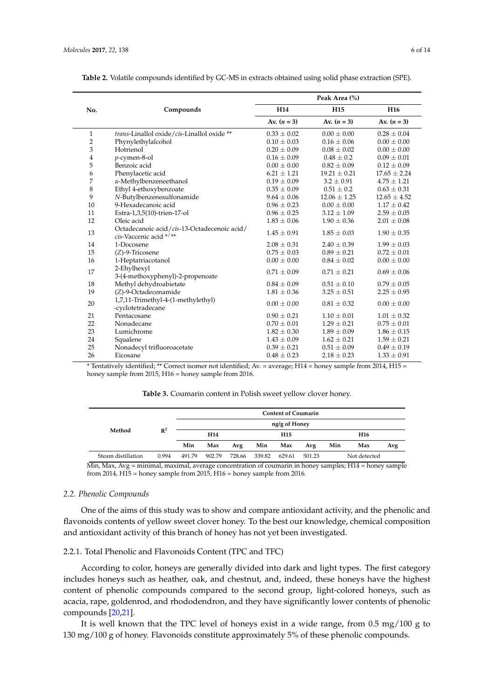|                |                                                                       |                 | Peak Area (%)    |                  |
|----------------|-----------------------------------------------------------------------|-----------------|------------------|------------------|
| No.            | Compounds                                                             | H <sub>14</sub> | H <sub>15</sub>  | H <sub>16</sub>  |
|                |                                                                       | Av. $(n = 3)$   | Av. $(n = 3)$    | Av. $(n = 3)$    |
| $\mathbf{1}$   | trans-Linallol oxide/cis-Linallol oxide **                            | $0.33 \pm 0.02$ | $0.00 \pm 0.00$  | $0.28 \pm 0.04$  |
| $\overline{2}$ | Phynylethylalcohol                                                    | $0.10 \pm 0.03$ | $0.16 \pm 0.06$  | $0.00 \pm 0.00$  |
| 3              | Hotrienol                                                             | $0.20 \pm 0.09$ | $0.08 \pm 0.02$  | $0.00 \pm 0.00$  |
| 4              | p-cymen-8-ol                                                          | $0.16 \pm 0.09$ | $0.48 \pm 0.2$   | $0.09 \pm 0.01$  |
| 5              | Benzoic acid                                                          | $0.00 \pm 0.00$ | $0.82 \pm 0.09$  | $0.12 \pm 0.09$  |
| 6              | Phenylacetic acid                                                     | $6.21 \pm 1.21$ | $19.21 \pm 0.21$ | $17.65 \pm 2.24$ |
| 7              | $\alpha$ -Methylbenzeneethanol                                        | $0.19 \pm 0.09$ | $3.2 \pm 0.91$   | $4.75 \pm 1.21$  |
| 8              | Ethyl 4-ethoxybenzoate                                                | $0.35 \pm 0.09$ | $0.51 \pm 0.2$   | $0.63 \pm 0.31$  |
| 9              | N-Butylbenzenesulfonamide                                             | $9.64 \pm 0.06$ | $12.06 \pm 1.25$ | $12.65 \pm 4.52$ |
| 10             | 9-Hexadecanoic acid                                                   | $0.96 \pm 0.23$ | $0.00 \pm 0.00$  | $1.17 \pm 0.42$  |
| 11             | Estra-1,3,5(10)-trien-17-ol                                           | $0.96 \pm 0.25$ | $3.12 \pm 1.09$  | $2.59 \pm 0.05$  |
| 12             | Oleic acid                                                            | $1.83 \pm 0.06$ | $1.90 \pm 0.36$  | $2.01 \pm 0.08$  |
| 13             | Octadecanoic acid/cis-13-Octadecenoic acid/<br>cis-Vaccenic acid */** | $1.45 \pm 0.91$ | $1.85 \pm 0.03$  | $1.90 \pm 0.35$  |
| 14             | 1-Docosene                                                            | $2.08 \pm 0.31$ | $2.40 \pm 0.39$  | $1.99 \pm 0.03$  |
| 15             | $(Z)$ -9-Tricosene                                                    | $0.75 \pm 0.03$ | $0.89 \pm 0.21$  | $0.72 \pm 0.01$  |
| 16             | 1-Heptatriacotanol                                                    | $0.00 \pm 0.00$ | $0.84 \pm 0.02$  | $0.00 \pm 0.00$  |
| 17             | 2-Ehylhexyl<br>3-(4-methoxyphenyl)-2-propenoate                       | $0.71 \pm 0.09$ | $0.71 \pm 0.21$  | $0.69 \pm 0.06$  |
| 18             | Methyl dehydroabietate                                                | $0.84 \pm 0.09$ | $0.51 \pm 0.10$  | $0.79 \pm 0.05$  |
| 19             | (Z)-9-Octadecenamide                                                  | $1.81 \pm 0.36$ | $3.25 \pm 0.51$  | $2.25 \pm 0.95$  |
| 20             | 1,7,11-Trimethyl-4-(1-methylethyl)<br>-cyclotetradecane               | $0.00 \pm 0.00$ | $0.81 \pm 0.32$  | $0.00 \pm 0.00$  |
| 21             | Pentacosane                                                           | $0.90 \pm 0.21$ | $1.10 \pm 0.01$  | $1.01 \pm 0.32$  |
| 22             | Nonadecane                                                            | $0.70 \pm 0.01$ | $1.29 \pm 0.21$  | $0.75 \pm 0.01$  |
| 23             | Lumichrome                                                            | $1.82 \pm 0.30$ | $1.89 \pm 0.09$  | $1.86 \pm 0.15$  |
| 24             | Squalene                                                              | $1.43 \pm 0.09$ | $1.62 \pm 0.21$  | $1.59 \pm 0.21$  |
| 25             | Nonadecyl trifluoroacetate                                            | $0.39 \pm 0.21$ | $0.51 \pm 0.09$  | $0.49 \pm 0.19$  |
| 26             | Eicosane                                                              | $0.48 \pm 0.23$ | $2.18 \pm 0.23$  | $1.33 \pm 0.91$  |

<span id="page-5-0"></span>

| Table 2. Volatile compounds identified by GC-MS in extracts obtained using solid phase extraction (SPE). |  |  |  |
|----------------------------------------------------------------------------------------------------------|--|--|--|
|----------------------------------------------------------------------------------------------------------|--|--|--|

<span id="page-5-1"></span>\* Tentatively identified; \*\* Correct isomer not identified; Av. = average; H14 = honey sample from 2014, H15 = honey sample from 2015, H16 = honey sample from 2016.

| <b>Table 3.</b> Coumarin content in Polish sweet yellow clover honey. |
|-----------------------------------------------------------------------|
|-----------------------------------------------------------------------|

|                    |                | <b>Content of Coumarin</b> |                 |        |        |                 |        |            |     |     |  |  |  |
|--------------------|----------------|----------------------------|-----------------|--------|--------|-----------------|--------|------------|-----|-----|--|--|--|
|                    |                | ng/g of Honey              |                 |        |        |                 |        |            |     |     |  |  |  |
| Method             | $\mathbb{R}^2$ |                            | H <sub>14</sub> |        |        | H <sub>15</sub> |        | <b>H16</b> |     |     |  |  |  |
|                    |                | Min                        | Max             | Avg    | Min    | Max             | Avg    | Min        | Max | Avg |  |  |  |
| Steam distillation | 0.994          | 491.79                     | 902.79          | 728.66 | 339.82 | 629.61          | 501.23 |            |     |     |  |  |  |

Min, Max, Avg = minimal, maximal, average concentration of coumarin in honey samples; H14 = honey sample from 2014, H15 = honey sample from 2015, H16 = honey sample from 2016.

# *2.2. Phenolic Compounds*

One of the aims of this study was to show and compare antioxidant activity, and the phenolic and flavonoids contents of yellow sweet clover honey. To the best our knowledge, chemical composition and antioxidant activity of this branch of honey has not yet been investigated.

# 2.2.1. Total Phenolic and Flavonoids Content (TPC and TFC)

According to color, honeys are generally divided into dark and light types. The first category includes honeys such as heather, oak, and chestnut, and, indeed, these honeys have the highest content of phenolic compounds compared to the second group, light-colored honeys, such as acacia, rape, goldenrod, and rhododendron, and they have significantly lower contents of phenolic compounds [\[20,](#page-12-10)[21\]](#page-12-11).

It is well known that the TPC level of honeys exist in a wide range, from 0.5 mg/100 g to 130 mg/100 g of honey. Flavonoids constitute approximately 5% of these phenolic compounds.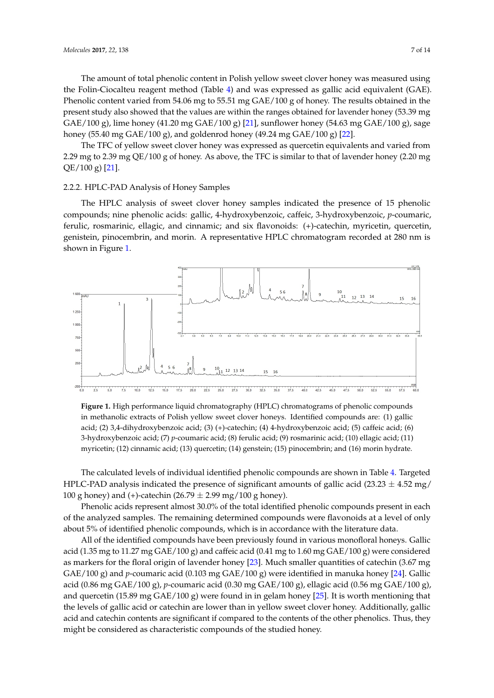The amount of total phenolic content in Polish yellow sweet clover honey was measured using the Folin-Ciocalteu reagent method (Table [4\)](#page-7-0) and was expressed as gallic acid equivalent (GAE). Phenolic content varied from 54.06 mg to 55.51 mg GAE/100 g of honey. The results obtained in the present study also showed that the values are within the ranges obtained for lavender honey (53.39 mg GAE/100 g), lime honey (41.20 mg GAE/100 g) [\[21\]](#page-12-11), sunflower honey (54.63 mg GAE/100 g), sage honey (55.40 mg GAE/100 g), and goldenrod honey (49.24 mg GAE/100 g) [\[22\]](#page-12-12).

The TFC of yellow sweet clover honey was expressed as quercetin equivalents and varied from 2.29 mg to 2.39 mg QE/100 g of honey. As above, the TFC is similar to that of lavender honey (2.20 mg QE/100 g) [\[21\]](#page-12-11).

#### 2.2.2. HPLC-PAD Analysis of Honey Samples

The HPLC analysis of sweet clover honey samples indicated the presence of 15 phenolic compounds; nine phenolic acids: gallic, 4-hydroxybenzoic, caffeic, 3-hydroxybenzoic, *p*-coumaric, ferulic, rosmarinic, ellagic, and cinnamic; and six flavonoids: (+)-catechin, myricetin, quercetin, genistein, pinocembrin, and morin. A representative HPLC chromatogram recorded at 280 nm is shown in Figure [1.](#page-6-0)

<span id="page-6-0"></span>

**Figure 1.** High performance liquid chromatography (HPLC) chromatograms of phenolic compounds in methanolic extracts of Polish yellow sweet clover honeys. Identified compounds are: (1) gallic acid; (2) 3,4-dihydroxybenzoic acid; (3) (+)-catechin; (4) 4-hydroxybenzoic acid; (5) caffeic acid; (6) 3-hydroxybenzoic acid; (7) *p*-coumaric acid; (8) ferulic acid; (9) rosmarinic acid; (10) ellagic acid; (11) myricetin; (12) cinnamic acid; (13) quercetin; (14) genstein; (15) pinocembrin; and (16) morin hydrate.

The calculated levels of individual identified phenolic compounds are shown in Table [4.](#page-7-0) Targeted HPLC-PAD analysis indicated the presence of significant amounts of gallic acid (23.23  $\pm$  4.52 mg/ 100 g honey) and (+)-catechin (26.79  $\pm$  2.99 mg/100 g honey).

Phenolic acids represent almost 30.0% of the total identified phenolic compounds present in each of the analyzed samples. The remaining determined compounds were flavonoids at a level of only about 5% of identified phenolic compounds, which is in accordance with the literature data.

All of the identified compounds have been previously found in various monofloral honeys. Gallic acid (1.35 mg to 11.27 mg GAE/100 g) and caffeic acid (0.41 mg to 1.60 mg GAE/100 g) were considered as markers for the floral origin of lavender honey [\[23\]](#page-12-13). Much smaller quantities of catechin (3.67 mg GAE/100 g) and *p*-coumaric acid (0.103 mg GAE/100 g) were identified in manuka honey [\[24\]](#page-12-14). Gallic acid (0.86 mg GAE/100 g), *p*-coumaric acid (0.30 mg GAE/100 g), ellagic acid (0.56 mg GAE/100 g), and quercetin (15.89 mg  $GAE/100$  g) were found in in gelam honey [\[25\]](#page-12-15). It is worth mentioning that the levels of gallic acid or catechin are lower than in yellow sweet clover honey. Additionally, gallic acid and catechin contents are significant if compared to the contents of the other phenolics. Thus, they might be considered as characteristic compounds of the studied honey.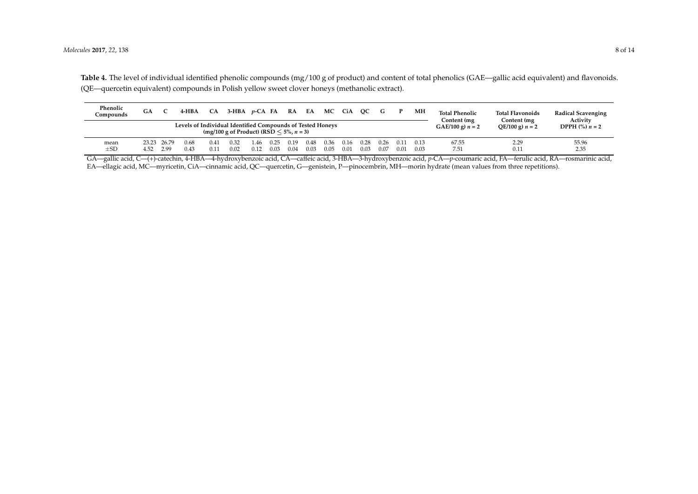| Phenolic<br>Compounds | GA                                                                                                           |                     | 4-HBA        | <b>CA</b>    | $3-HBA$ <i>p</i> -CA FA RA EA |              |              |              |              | MC CiA       |              | OC           | G            |              | MН                    | <b>Total Phenolic</b><br>Content (mg | <b>Total Flavonoids</b><br><b>Radical Scavenging</b><br>Activity<br>Content (mg |               |
|-----------------------|--------------------------------------------------------------------------------------------------------------|---------------------|--------------|--------------|-------------------------------|--------------|--------------|--------------|--------------|--------------|--------------|--------------|--------------|--------------|-----------------------|--------------------------------------|---------------------------------------------------------------------------------|---------------|
|                       | Levels of Individual Identified Compounds of Tested Honeys<br>(mg/100 g of Product) (RSD $\leq 5\%$ , n = 3) |                     |              |              |                               |              |              |              |              |              |              |              |              |              | $GAE/100 g$ ) $n = 2$ | QE/100 g) $n = 2$                    | <b>DPPH</b> $\left(\frac{9}{6}\right) n = 2$                                    |               |
| mean<br>$\pm$ SD      | 4.52                                                                                                         | 23.23 26.79<br>2.99 | 0.68<br>0.43 | 0.41<br>0.11 | 0.32<br>0.02                  | 1.46<br>0.12 | 0.25<br>0.03 | 0.19<br>0.04 | 0.48<br>0.03 | 0.36<br>0.05 | 0.16<br>0.01 | 0.28<br>0.03 | 0.26<br>0.07 | 0.11<br>0.01 | 0.13<br>0.03          | 67.55<br>7.51                        | 2.29<br>0.11                                                                    | 55.96<br>2.35 |

**Table 4.** The level of individual identified phenolic compounds (mg/100 g of product) and content of total phenolics (GAE—gallic acid equivalent) and flavonoids. (QE—quercetin equivalent) compounds in Polish yellow sweet clover honeys (methanolic extract).

<span id="page-7-0"></span>GA—gallic acid, C—(+)-catechin, 4-HBA—4-hydroxybenzoic acid, CA—caffeic acid, 3-HBA—3-hydroxybenzoic acid, *p*-CA—*p*-coumaric acid, FA—ferulic acid, RA—rosmarinic acid, EA—ellagic acid, MC—myricetin, CiA—cinnamic acid, QC—quercetin, G—genistein, P—pinocembrin, MH—morin hydrate (mean values from three repetitions).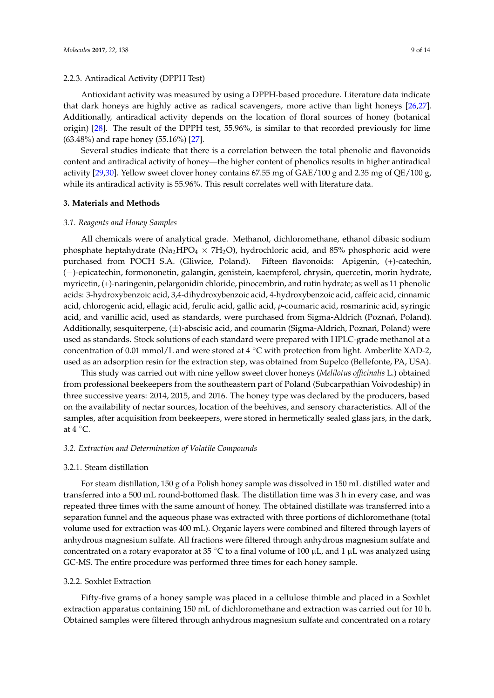## 2.2.3. Antiradical Activity (DPPH Test)

Antioxidant activity was measured by using a DPPH-based procedure. Literature data indicate that dark honeys are highly active as radical scavengers, more active than light honeys [\[26,](#page-12-16)[27\]](#page-12-17). Additionally, antiradical activity depends on the location of floral sources of honey (botanical origin) [\[28\]](#page-12-18). The result of the DPPH test, 55.96%, is similar to that recorded previously for lime (63.48%) and rape honey (55.16%) [\[27\]](#page-12-17).

Several studies indicate that there is a correlation between the total phenolic and flavonoids content and antiradical activity of honey—the higher content of phenolics results in higher antiradical activity [\[29](#page-13-0)[,30\]](#page-13-1). Yellow sweet clover honey contains 67.55 mg of GAE/100 g and 2.35 mg of QE/100 g, while its antiradical activity is 55.96%. This result correlates well with literature data.

#### **3. Materials and Methods**

#### *3.1. Reagents and Honey Samples*

All chemicals were of analytical grade. Methanol, dichloromethane, ethanol dibasic sodium phosphate heptahydrate (Na<sub>2</sub>HPO<sub>4</sub>  $\times$  7H<sub>2</sub>O), hydrochloric acid, and 85% phosphoric acid were purchased from POCH S.A. (Gliwice, Poland). Fifteen flavonoids: Apigenin, (+)-catechin, (−)-epicatechin, formononetin, galangin, genistein, kaempferol, chrysin, quercetin, morin hydrate, myricetin, (+)-naringenin, pelargonidin chloride, pinocembrin, and rutin hydrate; as well as 11 phenolic acids: 3-hydroxybenzoic acid, 3,4-dihydroxybenzoic acid, 4-hydroxybenzoic acid, caffeic acid, cinnamic acid, chlorogenic acid, ellagic acid, ferulic acid, gallic acid, *p*-coumaric acid, rosmarinic acid, syringic acid, and vanillic acid, used as standards, were purchased from Sigma-Aldrich (Poznań, Poland). Additionally, sesquiterpene,  $(\pm)$ -abscisic acid, and coumarin (Sigma-Aldrich, Poznań, Poland) were used as standards. Stock solutions of each standard were prepared with HPLC-grade methanol at a concentration of 0.01 mmol/L and were stored at  $4 °C$  with protection from light. Amberlite XAD-2, used as an adsorption resin for the extraction step, was obtained from Supelco (Bellefonte, PA, USA).

This study was carried out with nine yellow sweet clover honeys (*Melilotus officinalis* L.) obtained from professional beekeepers from the southeastern part of Poland (Subcarpathian Voivodeship) in three successive years: 2014, 2015, and 2016. The honey type was declared by the producers, based on the availability of nectar sources, location of the beehives, and sensory characteristics. All of the samples, after acquisition from beekeepers, were stored in hermetically sealed glass jars, in the dark, at  $4^{\circ}$ C.

## *3.2. Extraction and Determination of Volatile Compounds*

#### 3.2.1. Steam distillation

For steam distillation, 150 g of a Polish honey sample was dissolved in 150 mL distilled water and transferred into a 500 mL round-bottomed flask. The distillation time was 3 h in every case, and was repeated three times with the same amount of honey. The obtained distillate was transferred into a separation funnel and the aqueous phase was extracted with three portions of dichloromethane (total volume used for extraction was 400 mL). Organic layers were combined and filtered through layers of anhydrous magnesium sulfate. All fractions were filtered through anhydrous magnesium sulfate and concentrated on a rotary evaporator at 35 °C to a final volume of 100  $\mu$ L, and 1  $\mu$ L was analyzed using GC-MS. The entire procedure was performed three times for each honey sample.

## 3.2.2. Soxhlet Extraction

Fifty-five grams of a honey sample was placed in a cellulose thimble and placed in a Soxhlet extraction apparatus containing 150 mL of dichloromethane and extraction was carried out for 10 h. Obtained samples were filtered through anhydrous magnesium sulfate and concentrated on a rotary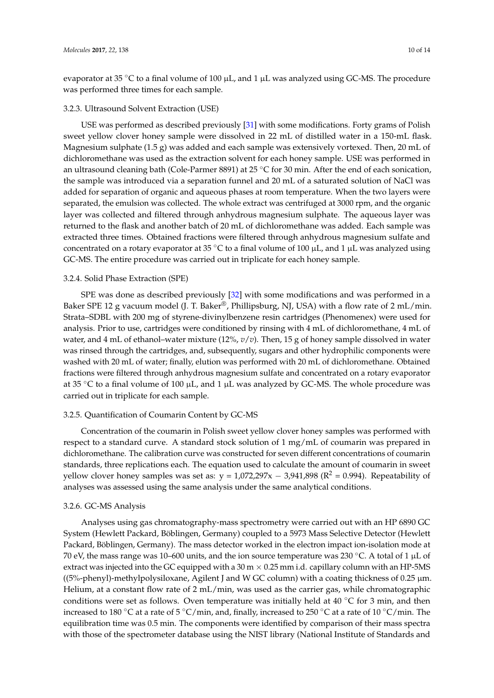evaporator at 35 °C to a final volume of 100  $\mu$ L, and 1  $\mu$ L was analyzed using GC-MS. The procedure was performed three times for each sample.

#### 3.2.3. Ultrasound Solvent Extraction (USE)

USE was performed as described previously [\[31\]](#page-13-2) with some modifications. Forty grams of Polish sweet yellow clover honey sample were dissolved in 22 mL of distilled water in a 150-mL flask. Magnesium sulphate (1.5 g) was added and each sample was extensively vortexed. Then, 20 mL of dichloromethane was used as the extraction solvent for each honey sample. USE was performed in an ultrasound cleaning bath (Cole-Parmer 8891) at 25 ◦C for 30 min. After the end of each sonication, the sample was introduced via a separation funnel and 20 mL of a saturated solution of NaCl was added for separation of organic and aqueous phases at room temperature. When the two layers were separated, the emulsion was collected. The whole extract was centrifuged at 3000 rpm, and the organic layer was collected and filtered through anhydrous magnesium sulphate. The aqueous layer was returned to the flask and another batch of 20 mL of dichloromethane was added. Each sample was extracted three times. Obtained fractions were filtered through anhydrous magnesium sulfate and concentrated on a rotary evaporator at 35 °C to a final volume of 100  $\mu$ L, and 1  $\mu$ L was analyzed using GC-MS. The entire procedure was carried out in triplicate for each honey sample.

## 3.2.4. Solid Phase Extraction (SPE)

SPE was done as described previously [\[32\]](#page-13-3) with some modifications and was performed in a Baker SPE 12 g vacuum model (J. T. Baker®, Phillipsburg, NJ, USA) with a flow rate of 2 mL/min. Strata–SDBL with 200 mg of styrene-divinylbenzene resin cartridges (Phenomenex) were used for analysis. Prior to use, cartridges were conditioned by rinsing with 4 mL of dichloromethane, 4 mL of water, and 4 mL of ethanol–water mixture (12%, *v*/*v*). Then, 15 g of honey sample dissolved in water was rinsed through the cartridges, and, subsequently, sugars and other hydrophilic components were washed with 20 mL of water; finally, elution was performed with 20 mL of dichloromethane. Obtained fractions were filtered through anhydrous magnesium sulfate and concentrated on a rotary evaporator at 35 °C to a final volume of 100  $\mu$ L, and 1  $\mu$ L was analyzed by GC-MS. The whole procedure was carried out in triplicate for each sample.

## 3.2.5. Quantification of Coumarin Content by GC-MS

Concentration of the coumarin in Polish sweet yellow clover honey samples was performed with respect to a standard curve. A standard stock solution of 1 mg/mL of coumarin was prepared in dichloromethane. The calibration curve was constructed for seven different concentrations of coumarin standards, three replications each. The equation used to calculate the amount of coumarin in sweet yellow clover honey samples was set as:  $y = 1,072,297x - 3,941,898$  ( $R^2 = 0.994$ ). Repeatability of analyses was assessed using the same analysis under the same analytical conditions.

#### 3.2.6. GC-MS Analysis

Analyses using gas chromatography-mass spectrometry were carried out with an HP 6890 GC System (Hewlett Packard, Böblingen, Germany) coupled to a 5973 Mass Selective Detector (Hewlett Packard, Böblingen, Germany). The mass detector worked in the electron impact ion-isolation mode at 70 eV, the mass range was 10–600 units, and the ion source temperature was 230 ◦C. A total of 1 µL of extract was injected into the GC equipped with a  $30 \text{ m} \times 0.25 \text{ mm}$  i.d. capillary column with an HP-5MS  $(5\%$ -phenyl)-methylpolysiloxane, Agilent J and W GC column) with a coating thickness of 0.25  $\mu$ m. Helium, at a constant flow rate of 2 mL/min, was used as the carrier gas, while chromatographic conditions were set as follows. Oven temperature was initially held at  $40\degree$ C for 3 min, and then increased to 180 °C at a rate of 5 °C/min, and, finally, increased to 250 °C at a rate of 10 °C/min. The equilibration time was 0.5 min. The components were identified by comparison of their mass spectra with those of the spectrometer database using the NIST library (National Institute of Standards and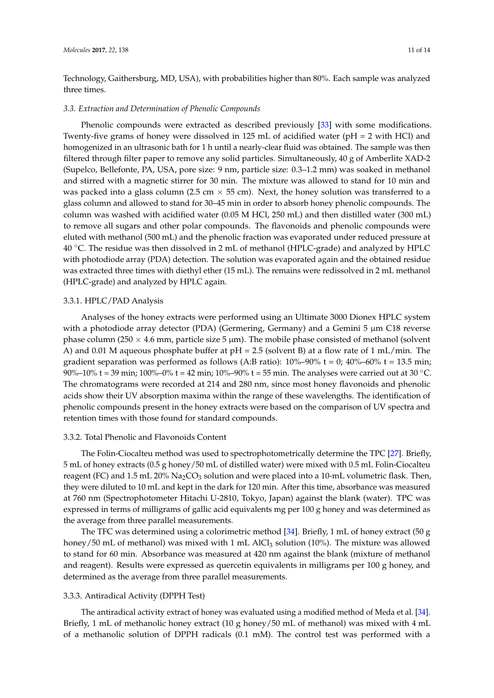Technology, Gaithersburg, MD, USA), with probabilities higher than 80%. Each sample was analyzed three times.

#### *3.3. Extraction and Determination of Phenolic Compounds*

Phenolic compounds were extracted as described previously [\[33\]](#page-13-4) with some modifications. Twenty-five grams of honey were dissolved in 125 mL of acidified water (pH = 2 with HCl) and homogenized in an ultrasonic bath for 1 h until a nearly-clear fluid was obtained. The sample was then filtered through filter paper to remove any solid particles. Simultaneously, 40 g of Amberlite XAD-2 (Supelco, Bellefonte, PA, USA, pore size: 9 nm, particle size: 0.3–1.2 mm) was soaked in methanol and stirred with a magnetic stirrer for 30 min. The mixture was allowed to stand for 10 min and was packed into a glass column (2.5 cm  $\times$  55 cm). Next, the honey solution was transferred to a glass column and allowed to stand for 30–45 min in order to absorb honey phenolic compounds. The column was washed with acidified water (0.05 M HCl, 250 mL) and then distilled water (300 mL) to remove all sugars and other polar compounds. The flavonoids and phenolic compounds were eluted with methanol (500 mL) and the phenolic fraction was evaporated under reduced pressure at 40  $°C$ . The residue was then dissolved in 2 mL of methanol (HPLC-grade) and analyzed by HPLC with photodiode array (PDA) detection. The solution was evaporated again and the obtained residue was extracted three times with diethyl ether (15 mL). The remains were redissolved in 2 mL methanol (HPLC-grade) and analyzed by HPLC again.

#### 3.3.1. HPLC/PAD Analysis

Analyses of the honey extracts were performed using an Ultimate 3000 Dionex HPLC system with a photodiode array detector (PDA) (Germering, Germany) and a Gemini 5  $\mu$ m C18 reverse phase column (250  $\times$  4.6 mm, particle size 5 µm). The mobile phase consisted of methanol (solvent A) and 0.01 M aqueous phosphate buffer at  $pH = 2.5$  (solvent B) at a flow rate of 1 mL/min. The gradient separation was performed as follows (A:B ratio):  $10\% - 90\%$  t = 0;  $40\% - 60\%$  t = 13.5 min; 90%–10% t = 39 min; 100%–0% t = 42 min; 10%–90% t = 55 min. The analyses were carried out at 30 °C. The chromatograms were recorded at 214 and 280 nm, since most honey flavonoids and phenolic acids show their UV absorption maxima within the range of these wavelengths. The identification of phenolic compounds present in the honey extracts were based on the comparison of UV spectra and retention times with those found for standard compounds.

#### 3.3.2. Total Phenolic and Flavonoids Content

The Folin-Ciocalteu method was used to spectrophotometrically determine the TPC [\[27\]](#page-12-17). Briefly, 5 mL of honey extracts (0.5 g honey/50 mL of distilled water) were mixed with 0.5 mL Folin-Ciocalteu reagent (FC) and 1.5 mL 20%  $\text{Na}_2\text{CO}_3$  solution and were placed into a 10-mL volumetric flask. Then, they were diluted to 10 mL and kept in the dark for 120 min. After this time, absorbance was measured at 760 nm (Spectrophotometer Hitachi U-2810, Tokyo, Japan) against the blank (water). TPC was expressed in terms of milligrams of gallic acid equivalents mg per 100 g honey and was determined as the average from three parallel measurements.

The TFC was determined using a colorimetric method  $[34]$ . Briefly, 1 mL of honey extract (50 g honey/50 mL of methanol) was mixed with 1 mL AlCl<sub>3</sub> solution (10%). The mixture was allowed to stand for 60 min. Absorbance was measured at 420 nm against the blank (mixture of methanol and reagent). Results were expressed as quercetin equivalents in milligrams per 100 g honey, and determined as the average from three parallel measurements.

#### 3.3.3. Antiradical Activity (DPPH Test)

The antiradical activity extract of honey was evaluated using a modified method of Meda et al. [\[34\]](#page-13-5). Briefly, 1 mL of methanolic honey extract (10 g honey/50 mL of methanol) was mixed with 4 mL of a methanolic solution of DPPH radicals (0.1 mM). The control test was performed with a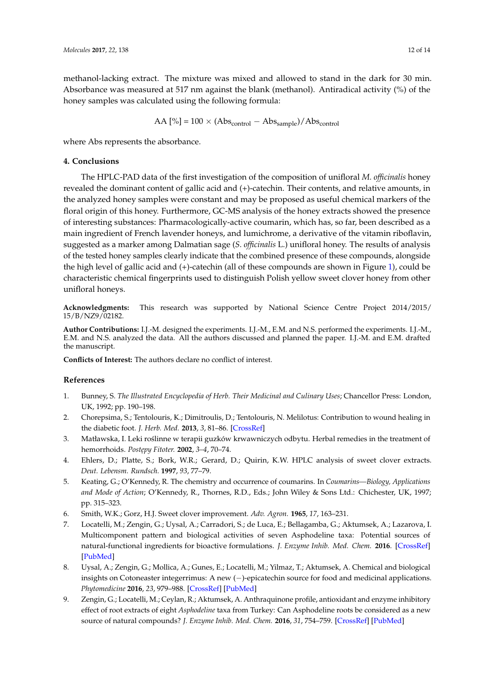methanol-lacking extract. The mixture was mixed and allowed to stand in the dark for 30 min. Absorbance was measured at 517 nm against the blank (methanol). Antiradical activity (%) of the honey samples was calculated using the following formula:

$$
AA [\%] = 100 \times (Abs_{control} - Abs_{sample})/Abs_{control}
$$

where Abs represents the absorbance.

# **4. Conclusions**

The HPLC-PAD data of the first investigation of the composition of unifloral *M. officinalis* honey revealed the dominant content of gallic acid and (+)-catechin. Their contents, and relative amounts, in the analyzed honey samples were constant and may be proposed as useful chemical markers of the floral origin of this honey. Furthermore, GC-MS analysis of the honey extracts showed the presence of interesting substances: Pharmacologically-active coumarin, which has, so far, been described as a main ingredient of French lavender honeys, and lumichrome, a derivative of the vitamin riboflavin, suggested as a marker among Dalmatian sage (*S. officinalis* L.) unifloral honey. The results of analysis of the tested honey samples clearly indicate that the combined presence of these compounds, alongside the high level of gallic acid and (+)-catechin (all of these compounds are shown in Figure [1\)](#page-6-0), could be characteristic chemical fingerprints used to distinguish Polish yellow sweet clover honey from other unifloral honeys.

**Acknowledgments:** This research was supported by National Science Centre Project 2014/2015/ 15/B/NZ9/02182.

**Author Contributions:** I.J.-M. designed the experiments. I.J.-M., E.M. and N.S. performed the experiments. I.J.-M., E.M. and N.S. analyzed the data. All the authors discussed and planned the paper. I.J.-M. and E.M. drafted the manuscript.

**Conflicts of Interest:** The authors declare no conflict of interest.

# **References**

- <span id="page-11-0"></span>1. Bunney, S. *The Illustrated Encyclopedia of Herb. Their Medicinal and Culinary Uses*; Chancellor Press: London, UK, 1992; pp. 190–198.
- <span id="page-11-1"></span>2. Chorepsima, S.; Tentolouris, K.; Dimitroulis, D.; Tentolouris, N. Melilotus: Contribution to wound healing in the diabetic foot. *J. Herb. Med.* **2013**, *3*, 81–86. [\[CrossRef\]](http://dx.doi.org/10.1016/j.hermed.2013.04.005)
- <span id="page-11-2"></span>3. Matławska, I. Leki roślinne w terapii guzków krwawniczych odbytu. Herbal remedies in the treatment of hemorrhoids. *Post˛epy Fitoter.* **2002**, *3–4*, 70–74.
- <span id="page-11-3"></span>4. Ehlers, D.; Platte, S.; Bork, W.R.; Gerard, D.; Quirin, K.W. HPLC analysis of sweet clover extracts. *Deut. Lebensm. Rundsch.* **1997**, *93*, 77–79.
- <span id="page-11-4"></span>5. Keating, G.; O'Kennedy, R. The chemistry and occurrence of coumarins. In *Coumarins—Biology, Applications and Mode of Action*; O'Kennedy, R., Thornes, R.D., Eds.; John Wiley & Sons Ltd.: Chichester, UK, 1997; pp. 315–323.
- <span id="page-11-5"></span>6. Smith, W.K.; Gorz, H.J. Sweet clover improvement. *Adv. Agron.* **1965**, *17*, 163–231.
- <span id="page-11-6"></span>7. Locatelli, M.; Zengin, G.; Uysal, A.; Carradori, S.; de Luca, E.; Bellagamba, G.; Aktumsek, A.; Lazarova, I. Multicomponent pattern and biological activities of seven Asphodeline taxa: Potential sources of natural-functional ingredients for bioactive formulations. *J. Enzyme Inhib. Med. Chem.* **2016**. [\[CrossRef\]](http://dx.doi.org/10.1080/14756366.2016.1235041) [\[PubMed\]](http://www.ncbi.nlm.nih.gov/pubmed/27774819)
- 8. Uysal, A.; Zengin, G.; Mollica, A.; Gunes, E.; Locatelli, M.; Yilmaz, T.; Aktumsek, A. Chemical and biological insights on Cotoneaster integerrimus: A new (−)-epicatechin source for food and medicinal applications. *Phytomedicine* **2016**, *23*, 979–988. [\[CrossRef\]](http://dx.doi.org/10.1016/j.phymed.2016.06.011) [\[PubMed\]](http://www.ncbi.nlm.nih.gov/pubmed/27444342)
- <span id="page-11-7"></span>9. Zengin, G.; Locatelli, M.; Ceylan, R.; Aktumsek, A. Anthraquinone profile, antioxidant and enzyme inhibitory effect of root extracts of eight *Asphodeline* taxa from Turkey: Can Asphodeline roots be considered as a new source of natural compounds? *J. Enzyme Inhib. Med. Chem.* **2016**, *31*, 754–759. [\[CrossRef\]](http://dx.doi.org/10.3109/14756366.2015.1063623) [\[PubMed\]](http://www.ncbi.nlm.nih.gov/pubmed/26207512)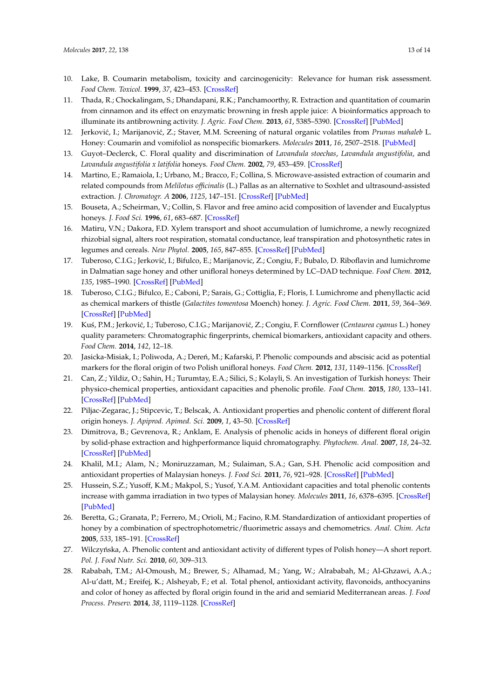- <span id="page-12-0"></span>10. Lake, B. Coumarin metabolism, toxicity and carcinogenicity: Relevance for human risk assessment. *Food Chem. Toxicol.* **1999**, *37*, 423–453. [\[CrossRef\]](http://dx.doi.org/10.1016/S0278-6915(99)00010-1)
- <span id="page-12-1"></span>11. Thada, R.; Chockalingam, S.; Dhandapani, R.K.; Panchamoorthy, R. Extraction and quantitation of coumarin from cinnamon and its effect on enzymatic browning in fresh apple juice: A bioinformatics approach to illuminate its antibrowning activity. *J. Agric. Food Chem.* **2013**, *61*, 5385–5390. [\[CrossRef\]](http://dx.doi.org/10.1021/jf4009789) [\[PubMed\]](http://www.ncbi.nlm.nih.gov/pubmed/23683299)
- <span id="page-12-3"></span>12. Jerković, I.; Marijanović, Z.; Staver, M.M. Screening of natural organic volatiles from *Prunus mahaleb* L. Honey: Coumarin and vomifoliol as nonspecific biomarkers. *Molecules* **2011**, *16*, 2507–2518. [\[PubMed\]](http://www.ncbi.nlm.nih.gov/pubmed/21407151)
- <span id="page-12-4"></span>13. Guyot–Declerck, C. Floral quality and discrimination of *Lavandula stoechas*, *Lavandula angustifolia*, and *Lavandula angustifolia x latifolia* honeys. *Food Chem.* **2002**, *79*, 453–459. [\[CrossRef\]](http://dx.doi.org/10.1016/S0308-8146(02)00216-9)
- <span id="page-12-2"></span>14. Martino, E.; Ramaiola, I.; Urbano, M.; Bracco, F.; Collina, S. Microwave-assisted extraction of coumarin and related compounds from *Melilotus officinalis* (L.) Pallas as an alternative to Soxhlet and ultrasound-assisted extraction. *J. Chromatogr. A* **2006**, *1125*, 147–151. [\[CrossRef\]](http://dx.doi.org/10.1016/j.chroma.2006.05.032) [\[PubMed\]](http://www.ncbi.nlm.nih.gov/pubmed/16769080)
- <span id="page-12-5"></span>15. Bouseta, A.; Scheirman, V.; Collin, S. Flavor and free amino acid composition of lavender and Eucalyptus honeys. *J. Food Sci.* **1996**, *61*, 683–687. [\[CrossRef\]](http://dx.doi.org/10.1111/j.1365-2621.1996.tb12181.x)
- <span id="page-12-6"></span>16. Matiru, V.N.; Dakora, F.D. Xylem transport and shoot accumulation of lumichrome, a newly recognized rhizobial signal, alters root respiration, stomatal conductance, leaf transpiration and photosynthetic rates in legumes and cereals. *New Phytol.* **2005**, *165*, 847–855. [\[CrossRef\]](http://dx.doi.org/10.1111/j.1469-8137.2004.01254.x) [\[PubMed\]](http://www.ncbi.nlm.nih.gov/pubmed/15720696)
- <span id="page-12-7"></span>17. Tuberoso, C.I.G.; Jerković, I.; Bifulco, E.; Marijanovic, Z.; Congiu, F.; Bubalo, D. Riboflavin and lumichrome in Dalmatian sage honey and other unifloral honeys determined by LC–DAD technique. *Food Chem.* **2012**, *135*, 1985–1990. [\[CrossRef\]](http://dx.doi.org/10.1016/j.foodchem.2012.06.096) [\[PubMed\]](http://www.ncbi.nlm.nih.gov/pubmed/22953948)
- <span id="page-12-8"></span>18. Tuberoso, C.I.G.; Bifulco, E.; Caboni, P.; Sarais, G.; Cottiglia, F.; Floris, I. Lumichrome and phenyllactic acid as chemical markers of thistle (*Galactites tomentosa* Moench) honey. *J. Agric. Food Chem.* **2011**, *59*, 364–369. [\[CrossRef\]](http://dx.doi.org/10.1021/jf1039074) [\[PubMed\]](http://www.ncbi.nlm.nih.gov/pubmed/21126007)
- <span id="page-12-9"></span>19. Kuś, P.M.; Jerković, I.; Tuberoso, C.I.G.; Marijanović, Z.; Congiu, F. Cornflower (*Centaurea cyanus* L.) honey quality parameters: Chromatographic fingerprints, chemical biomarkers, antioxidant capacity and others. *Food Chem.* **2014**, *142*, 12–18.
- <span id="page-12-10"></span>20. Jasicka-Misiak, I.; Poliwoda, A.; Dereń, M.; Kafarski, P. Phenolic compounds and abscisic acid as potential markers for the floral origin of two Polish unifloral honeys. *Food Chem.* **2012**, *131*, 1149–1156. [\[CrossRef\]](http://dx.doi.org/10.1016/j.foodchem.2011.09.083)
- <span id="page-12-11"></span>21. Can, Z.; Yildiz, O.; Sahin, H.; Turumtay, E.A.; Silici, S.; Kolayli, S. An investigation of Turkish honeys: Their physico-chemical properties, antioxidant capacities and phenolic profile. *Food Chem.* **2015**, *180*, 133–141. [\[CrossRef\]](http://dx.doi.org/10.1016/j.foodchem.2015.02.024) [\[PubMed\]](http://www.ncbi.nlm.nih.gov/pubmed/25766810)
- <span id="page-12-12"></span>22. Piljac-Zegarac, J.; Stipcevic, T.; Belscak, A. Antioxidant properties and phenolic content of different floral origin honeys. *J. Apiprod. Apimed. Sci.* **2009**, *1*, 43–50. [\[CrossRef\]](http://dx.doi.org/10.3896/IBRA.4.01.2.04)
- <span id="page-12-13"></span>23. Dimitrova, B.; Gevrenova, R.; Anklam, E. Analysis of phenolic acids in honeys of different floral origin by solid-phase extraction and highperformance liquid chromatography. *Phytochem. Anal.* **2007**, *18*, 24–32. [\[CrossRef\]](http://dx.doi.org/10.1002/pca.948) [\[PubMed\]](http://www.ncbi.nlm.nih.gov/pubmed/17260695)
- <span id="page-12-14"></span>24. Khalil, M.I.; Alam, N.; Moniruzzaman, M.; Sulaiman, S.A.; Gan, S.H. Phenolic acid composition and antioxidant properties of Malaysian honeys. *J. Food Sci.* **2011**, *76*, 921–928. [\[CrossRef\]](http://dx.doi.org/10.1111/j.1750-3841.2011.02282.x) [\[PubMed\]](http://www.ncbi.nlm.nih.gov/pubmed/22417491)
- <span id="page-12-15"></span>25. Hussein, S.Z.; Yusoff, K.M.; Makpol, S.; Yusof, Y.A.M. Antioxidant capacities and total phenolic contents increase with gamma irradiation in two types of Malaysian honey. *Molecules* **2011**, *16*, 6378–6395. [\[CrossRef\]](http://dx.doi.org/10.3390/molecules16086378) [\[PubMed\]](http://www.ncbi.nlm.nih.gov/pubmed/21796076)
- <span id="page-12-16"></span>26. Beretta, G.; Granata, P.; Ferrero, M.; Orioli, M.; Facino, R.M. Standardization of antioxidant properties of honey by a combination of spectrophotometric/fluorimetric assays and chemometrics. *Anal. Chim. Acta* **2005**, *533*, 185–191. [\[CrossRef\]](http://dx.doi.org/10.1016/j.aca.2004.11.010)
- <span id="page-12-17"></span>27. Wilczyńska, A. Phenolic content and antioxidant activity of different types of Polish honey—A short report. *Pol. J. Food Nutr. Sci.* **2010**, *60*, 309–313.
- <span id="page-12-18"></span>28. Rababah, T.M.; Al-Omoush, M.; Brewer, S.; Alhamad, M.; Yang, W.; Alrababah, M.; Al-Ghzawi, A.A.; Al-u'datt, M.; Ereifej, K.; Alsheyab, F.; et al. Total phenol, antioxidant activity, flavonoids, anthocyanins and color of honey as affected by floral origin found in the arid and semiarid Mediterranean areas. *J. Food Process. Preserv.* **2014**, *38*, 1119–1128. [\[CrossRef\]](http://dx.doi.org/10.1111/jfpp.12071)